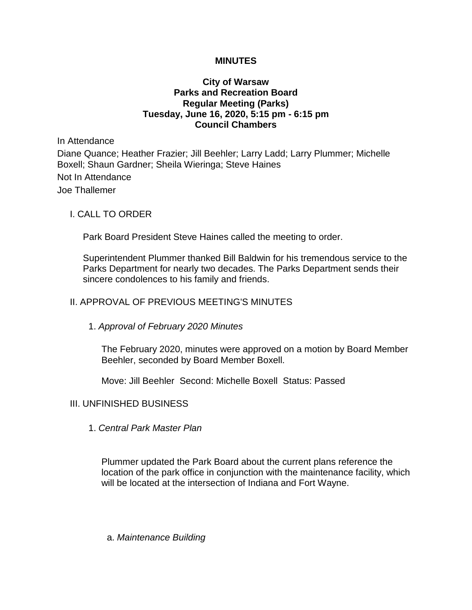## **MINUTES**

# **City of Warsaw Parks and Recreation Board Regular Meeting (Parks) Tuesday, June 16, 2020, 5:15 pm - 6:15 pm Council Chambers**

In Attendance

Diane Quance; Heather Frazier; Jill Beehler; Larry Ladd; Larry Plummer; Michelle Boxell; Shaun Gardner; Sheila Wieringa; Steve Haines

Not In Attendance Joe Thallemer

## I. CALL TO ORDER

Park Board President Steve Haines called the meeting to order.

Superintendent Plummer thanked Bill Baldwin for his tremendous service to the Parks Department for nearly two decades. The Parks Department sends their sincere condolences to his family and friends.

## II. APPROVAL OF PREVIOUS MEETING'S MINUTES

## 1. *Approval of February 2020 Minutes*

The February 2020, minutes were approved on a motion by Board Member Beehler, seconded by Board Member Boxell.

Move: Jill Beehler Second: Michelle Boxell Status: Passed

## III. UNFINISHED BUSINESS

1. *Central Park Master Plan*

Plummer updated the Park Board about the current plans reference the location of the park office in conjunction with the maintenance facility, which will be located at the intersection of Indiana and Fort Wayne.

a. *Maintenance Building*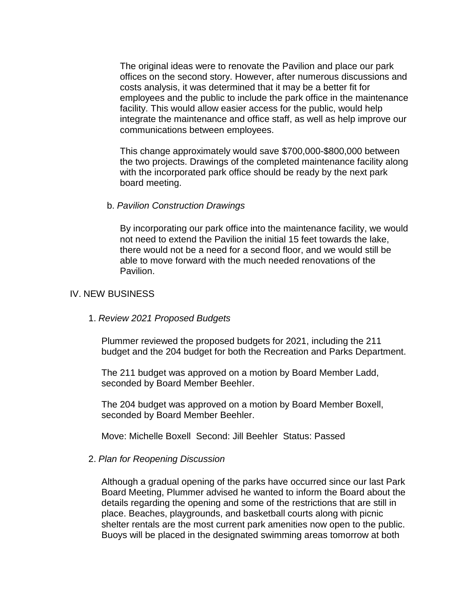The original ideas were to renovate the Pavilion and place our park offices on the second story. However, after numerous discussions and costs analysis, it was determined that it may be a better fit for employees and the public to include the park office in the maintenance facility. This would allow easier access for the public, would help integrate the maintenance and office staff, as well as help improve our communications between employees.

This change approximately would save \$700,000-\$800,000 between the two projects. Drawings of the completed maintenance facility along with the incorporated park office should be ready by the next park board meeting.

### b. *Pavilion Construction Drawings*

By incorporating our park office into the maintenance facility, we would not need to extend the Pavilion the initial 15 feet towards the lake, there would not be a need for a second floor, and we would still be able to move forward with the much needed renovations of the Pavilion.

## IV. NEW BUSINESS

1. *Review 2021 Proposed Budgets*

Plummer reviewed the proposed budgets for 2021, including the 211 budget and the 204 budget for both the Recreation and Parks Department.

The 211 budget was approved on a motion by Board Member Ladd, seconded by Board Member Beehler.

The 204 budget was approved on a motion by Board Member Boxell, seconded by Board Member Beehler.

Move: Michelle Boxell Second: Jill Beehler Status: Passed

### 2. *Plan for Reopening Discussion*

Although a gradual opening of the parks have occurred since our last Park Board Meeting, Plummer advised he wanted to inform the Board about the details regarding the opening and some of the restrictions that are still in place. Beaches, playgrounds, and basketball courts along with picnic shelter rentals are the most current park amenities now open to the public. Buoys will be placed in the designated swimming areas tomorrow at both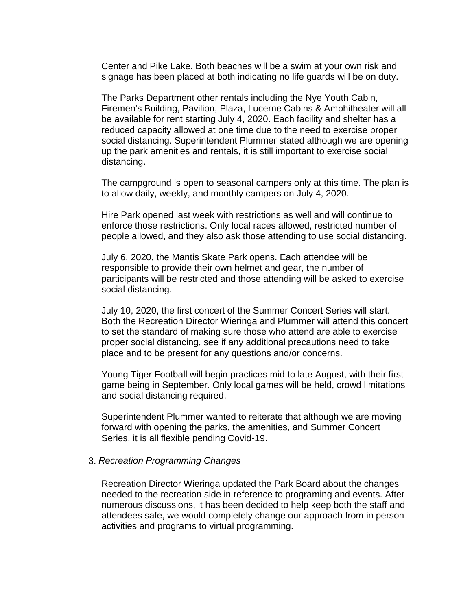Center and Pike Lake. Both beaches will be a swim at your own risk and signage has been placed at both indicating no life guards will be on duty.

The Parks Department other rentals including the Nye Youth Cabin, Firemen's Building, Pavilion, Plaza, Lucerne Cabins & Amphitheater will all be available for rent starting July 4, 2020. Each facility and shelter has a reduced capacity allowed at one time due to the need to exercise proper social distancing. Superintendent Plummer stated although we are opening up the park amenities and rentals, it is still important to exercise social distancing.

The campground is open to seasonal campers only at this time. The plan is to allow daily, weekly, and monthly campers on July 4, 2020.

Hire Park opened last week with restrictions as well and will continue to enforce those restrictions. Only local races allowed, restricted number of people allowed, and they also ask those attending to use social distancing.

July 6, 2020, the Mantis Skate Park opens. Each attendee will be responsible to provide their own helmet and gear, the number of participants will be restricted and those attending will be asked to exercise social distancing.

July 10, 2020, the first concert of the Summer Concert Series will start. Both the Recreation Director Wieringa and Plummer will attend this concert to set the standard of making sure those who attend are able to exercise proper social distancing, see if any additional precautions need to take place and to be present for any questions and/or concerns.

Young Tiger Football will begin practices mid to late August, with their first game being in September. Only local games will be held, crowd limitations and social distancing required.

Superintendent Plummer wanted to reiterate that although we are moving forward with opening the parks, the amenities, and Summer Concert Series, it is all flexible pending Covid-19.

### 3. *Recreation Programming Changes*

Recreation Director Wieringa updated the Park Board about the changes needed to the recreation side in reference to programing and events. After numerous discussions, it has been decided to help keep both the staff and attendees safe, we would completely change our approach from in person activities and programs to virtual programming.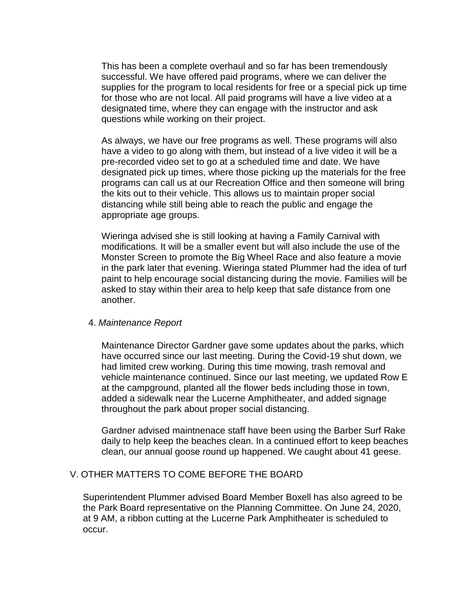This has been a complete overhaul and so far has been tremendously successful. We have offered paid programs, where we can deliver the supplies for the program to local residents for free or a special pick up time for those who are not local. All paid programs will have a live video at a designated time, where they can engage with the instructor and ask questions while working on their project.

As always, we have our free programs as well. These programs will also have a video to go along with them, but instead of a live video it will be a pre-recorded video set to go at a scheduled time and date. We have designated pick up times, where those picking up the materials for the free programs can call us at our Recreation Office and then someone will bring the kits out to their vehicle. This allows us to maintain proper social distancing while still being able to reach the public and engage the appropriate age groups.

Wieringa advised she is still looking at having a Family Carnival with modifications. It will be a smaller event but will also include the use of the Monster Screen to promote the Big Wheel Race and also feature a movie in the park later that evening. Wieringa stated Plummer had the idea of turf paint to help encourage social distancing during the movie. Families will be asked to stay within their area to help keep that safe distance from one another.

## 4. *Maintenance Report*

Maintenance Director Gardner gave some updates about the parks, which have occurred since our last meeting. During the Covid-19 shut down, we had limited crew working. During this time mowing, trash removal and vehicle maintenance continued. Since our last meeting, we updated Row E at the campground, planted all the flower beds including those in town, added a sidewalk near the Lucerne Amphitheater, and added signage throughout the park about proper social distancing.

Gardner advised maintnenace staff have been using the Barber Surf Rake daily to help keep the beaches clean. In a continued effort to keep beaches clean, our annual goose round up happened. We caught about 41 geese.

# V. OTHER MATTERS TO COME BEFORE THE BOARD

Superintendent Plummer advised Board Member Boxell has also agreed to be the Park Board representative on the Planning Committee. On June 24, 2020, at 9 AM, a ribbon cutting at the Lucerne Park Amphitheater is scheduled to occur.